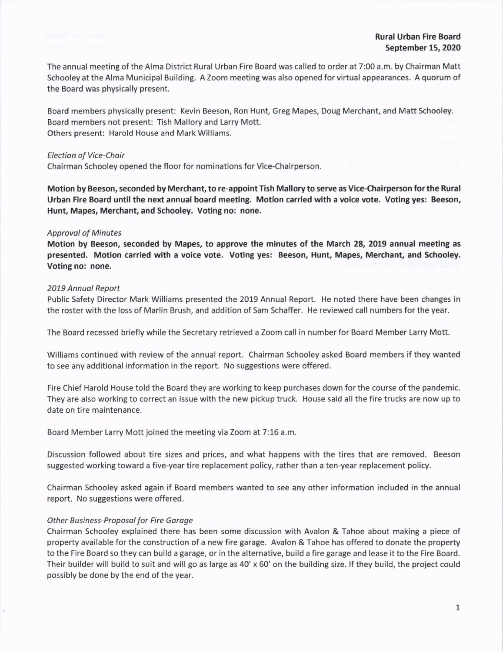The annual meeting of the Alma District Rural Urban Fire Board was called to order at 7:00 a.m. by Chairman Matt Schooley at the Alma Municipal Building. A Zoom meeting was also opened for virtual appearances. A quorum of the Board was physically present.

Board members physically present: Kevin Beeson, Ron Hunt, Greg Mapes, Doug Merchant, and Matt Schooley. Board members not present: Tish Mallory and Larry Mott. Others present: Harold House and Mark Williams.

#### Election of Vice-Chair

Chairman Schooley opened the floor for nominations for Vice-Chairperson.

Motion by Beeson, seconded by Merchant, to re-appoint Tish Mallory to serve as Vice-Chairperson for the Rural Urban Fire Board until the next annual board meeting. Motion carried with a voice vote. Voting yes: Beeson, Hunt, Mapes, Merchant, and Schooley. Voting no: none.

#### **Approval of Minutes**

Motion by Beeson, seconded by Mapes, to approve the minutes of the March 28, 2019 annual meeting as presented. Motion carried with a voice vote. Voting yes: Beeson, Hunt, Mapes, Merchant, and Schooley. Voting no: none.

#### 2019 Annuol Report

Public Safety Director Mark Williams presented the 2019 Annual Report. He noted there have been changes in the roster with the loss of Marlin Brush, and addition of Sam Schaffer. He reviewed call numbers for the year.

The Board recessed briefly while the Secretary retrieved a Zoom call in number for Board Member Larry Mott.

Williams continued with review of the annual report. Chairman Schooley asked Board members if they wanted to see any additional information in the report. No suggestions were offered.

Fire Chief Harold House told the Board they are working to keep purchases down for the course of the pandemic. They are also working to correct an issue with the new pickup truck. House said all the fire trucks are now up to date on tire maintenance.

Board Member Larry Mott joined the meeting via Zoom at 7:16 a.m

Discussion followed about tire sizes and prices, and what happens with the tires that are removed. Beeson suggested working toward a five-year tire replacement policy, rather than a ten-year replacement policy.

Chairman Schooley asked again if Board members wanted to see any other information included in the annual report. No suggestions were offered.

#### Other Business-Proposal for Fire Garage

Chairman Schooley explained there has been some discussion with Avalon & Tahoe about making a piece of property available for the construction of a new fire garage. Avalon & Tahoe has offered to donate the property to the Fire Board so they can build a garage, or in the alternative, build a fire garage and lease it to the Fire Board. Their builder will build to suit and will go as large as 40' x 60' on the building size. lf they build, the project could possibly be done by the end of the year.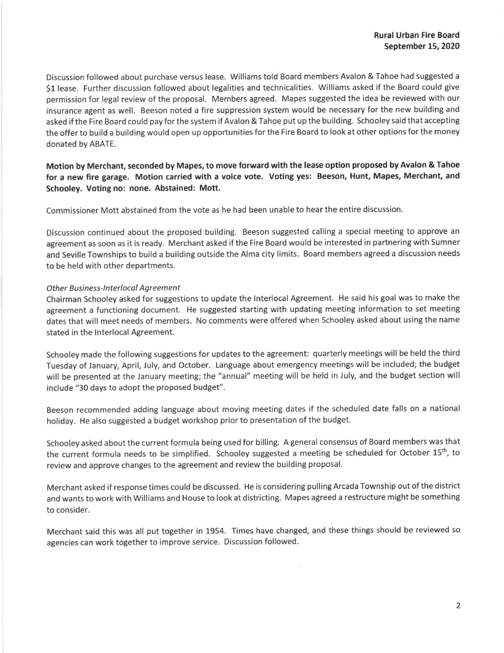Discussion followed about purchase versus lease. Williams told Board members Avalon & Tahoe had suggested a 51 lease. Further discussion followed about legalities and technicalities. Williams asked if the Board could give permission for Iegal review of the proposal. Members agreed. Mapes suggested the idea be reviewed with our insurance agent as well. Beeson noted a fire suppression system would be necessary for the new building and asked ifthe Fire Board could payfor the system if Avalon & Tahoe put up the building. Schooley said that accepting the offer to build a building would open up opportunities for the Fire Board to look at other options for the money donated by ABATE.

# Motion by Merchant, seconded by Mapes, to move forward with the lease option proposed by Avalon & Tahoe for a new fire garage. Motion carried with a voice vote. Voting yes: Beeson, Hunt, Mapes, Merchant, and Schooley. voting no: none. Abstained: Mott.

Commissioner Mott abstained from the vote as he had been unable to hear the entire discussion.

Discussion continued about the proposed building. Beeson suggested calling a special meeting to approve an agreement as soon as it is ready. Merchant asked if the Fire Board would be interested in partnering with Sumner and Seville Townships to build a building outside the Alma city limits. Board members agreed a discussion needs to be held with other departments.

## Other Business-Interlocal Agreement

Chairman Schooley asked for suggestions to update the lnterlocal Agreement. He said his goal was to make the agreement a functioning document. He suggested starting with updating meeting information to set meeting dates that will meet needs of members. No comments were offered when Schooley asked about using the name stated in the lnterlocal Agreement.

Schooley made the following suggestions for updates to the agreement: quarterly meetings will be held the third Tuesday of January, April, July, and October. Language about emergency meetings will be included; the budget will be presented at the January meeting; the "annual" meeting will be held in July, and the budget section will include "30 days to adopt the proposed budget".

Beeson recommended adding language about moving meeting dates if the scheduled date falls on a national holiday. He also suggested a budget workshop prior to presentation of the budget.

Schooley asked about the current formula being used for billing. A general consensus of Board members was that the current formula needs to be simplified. Schooley suggested a meeting be scheduled for October 15<sup>th</sup>, to review and approve changes to the agreement and review the building proposal.

Merchant asked if response times could be discussed. He is considering pulling Arcada Township out of the district and wants to work with Williams and House to look at districting. Mapes agreed a restructure might be something to consider.

Merchant said this was all put together in 1954. Times have changed, and these things should be reviewed so agencies can work together to improve service. Discussion followed.